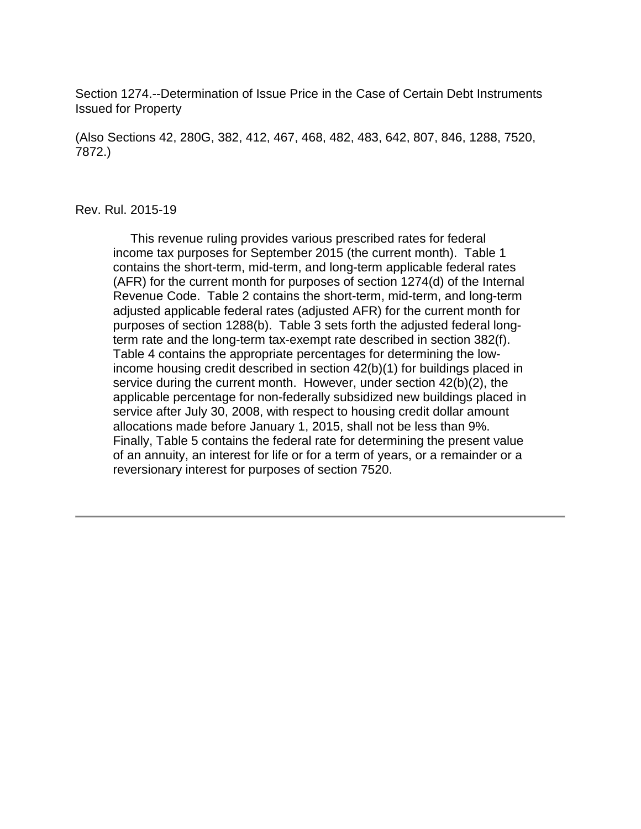Section 1274.--Determination of Issue Price in the Case of Certain Debt Instruments Issued for Property

(Also Sections 42, 280G, 382, 412, 467, 468, 482, 483, 642, 807, 846, 1288, 7520, 7872.)

#### Rev. Rul. 2015-19

 This revenue ruling provides various prescribed rates for federal income tax purposes for September 2015 (the current month). Table 1 contains the short-term, mid-term, and long-term applicable federal rates (AFR) for the current month for purposes of section 1274(d) of the Internal Revenue Code. Table 2 contains the short-term, mid-term, and long-term adjusted applicable federal rates (adjusted AFR) for the current month for purposes of section 1288(b). Table 3 sets forth the adjusted federal longterm rate and the long-term tax-exempt rate described in section 382(f). Table 4 contains the appropriate percentages for determining the lowincome housing credit described in section 42(b)(1) for buildings placed in service during the current month. However, under section 42(b)(2), the applicable percentage for non-federally subsidized new buildings placed in service after July 30, 2008, with respect to housing credit dollar amount allocations made before January 1, 2015, shall not be less than 9%. Finally, Table 5 contains the federal rate for determining the present value of an annuity, an interest for life or for a term of years, or a remainder or a reversionary interest for purposes of section 7520.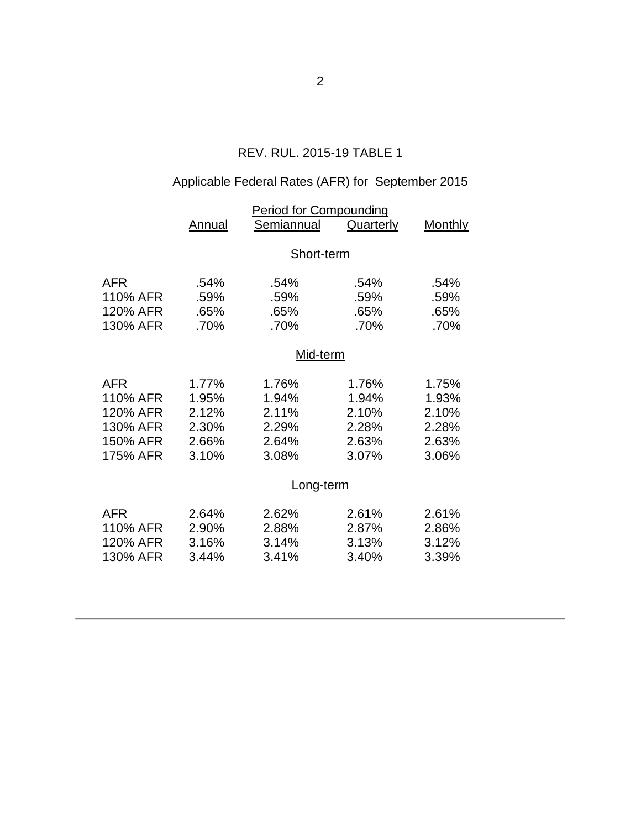## REV. RUL. 2015-19 TABLE 1

# Applicable Federal Rates (AFR) for September 2015

|            | <b>Period for Compounding</b> |            |                  |                |  |  |
|------------|-------------------------------|------------|------------------|----------------|--|--|
|            | Annual                        | Semiannual | <b>Quarterly</b> | <b>Monthly</b> |  |  |
|            | Short-term                    |            |                  |                |  |  |
|            |                               |            |                  |                |  |  |
| <b>AFR</b> | .54%                          | .54%       | .54%             | .54%           |  |  |
| 110% AFR   | .59%                          | .59%       | .59%             | .59%           |  |  |
| 120% AFR   | .65%                          | .65%       | .65%             | .65%           |  |  |
| 130% AFR   | .70%                          | .70%       | .70%             | .70%           |  |  |
|            | Mid-term                      |            |                  |                |  |  |
|            |                               |            |                  |                |  |  |
| <b>AFR</b> | 1.77%                         | 1.76%      | 1.76%            | 1.75%          |  |  |
| 110% AFR   | 1.95%                         | 1.94%      | 1.94%            | 1.93%          |  |  |
| 120% AFR   | 2.12%                         | 2.11%      | 2.10%            | 2.10%          |  |  |
| 130% AFR   | 2.30%                         | 2.29%      | 2.28%            | 2.28%          |  |  |
| 150% AFR   | 2.66%                         | 2.64%      | 2.63%            | 2.63%          |  |  |
| 175% AFR   | 3.10%                         | 3.08%      | 3.07%            | 3.06%          |  |  |
|            | Long-term                     |            |                  |                |  |  |
| <b>AFR</b> | 2.64%                         | 2.62%      | 2.61%            | 2.61%          |  |  |
| 110% AFR   | 2.90%                         | 2.88%      | 2.87%            | 2.86%          |  |  |
| 120% AFR   | 3.16%                         | 3.14%      | 3.13%            | 3.12%          |  |  |
| 130% AFR   | 3.44%                         | 3.41%      | 3.40%            | 3.39%          |  |  |
|            |                               |            |                  |                |  |  |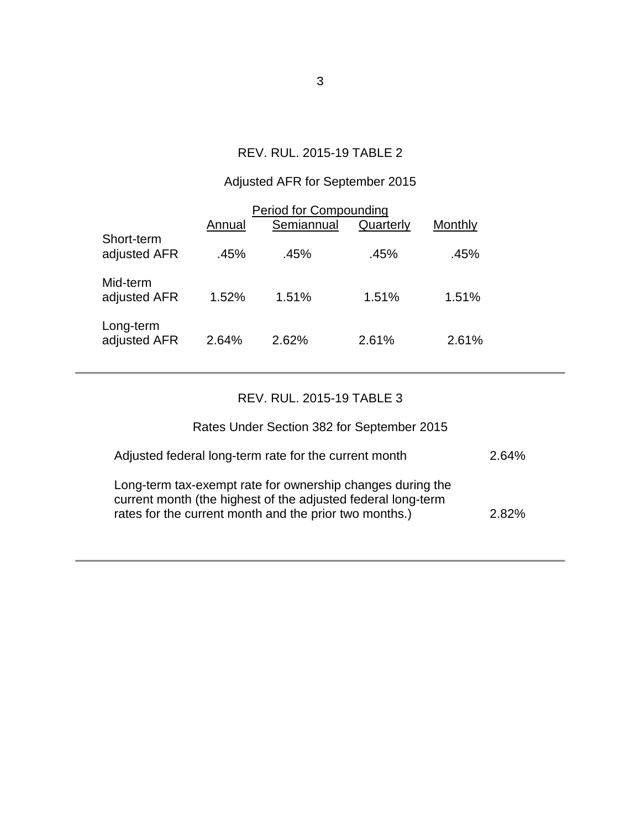## REV. RUL. 2015-19 TABLE 2

## Adjusted AFR for September 2015

| <b>Period for Compounding</b> |        |            |           |         |  |  |
|-------------------------------|--------|------------|-----------|---------|--|--|
|                               | Annual | Semiannual | Quarterly | Monthly |  |  |
| Short-term<br>adjusted AFR    | .45%   | .45%       | .45%      | .45%    |  |  |
| Mid-term<br>adjusted AFR      | 1.52%  | 1.51%      | 1.51%     | 1.51%   |  |  |
| Long-term<br>adjusted AFR     | 2.64%  | 2.62%      | 2.61%     | 2.61%   |  |  |

## REV. RUL. 2015-19 TABLE 3

# Rates Under Section 382 for September 2015

| Adjusted federal long-term rate for the current month                                                                                                                                | 2.64% |
|--------------------------------------------------------------------------------------------------------------------------------------------------------------------------------------|-------|
| Long-term tax-exempt rate for ownership changes during the<br>current month (the highest of the adjusted federal long-term<br>rates for the current month and the prior two months.) | 2.82% |